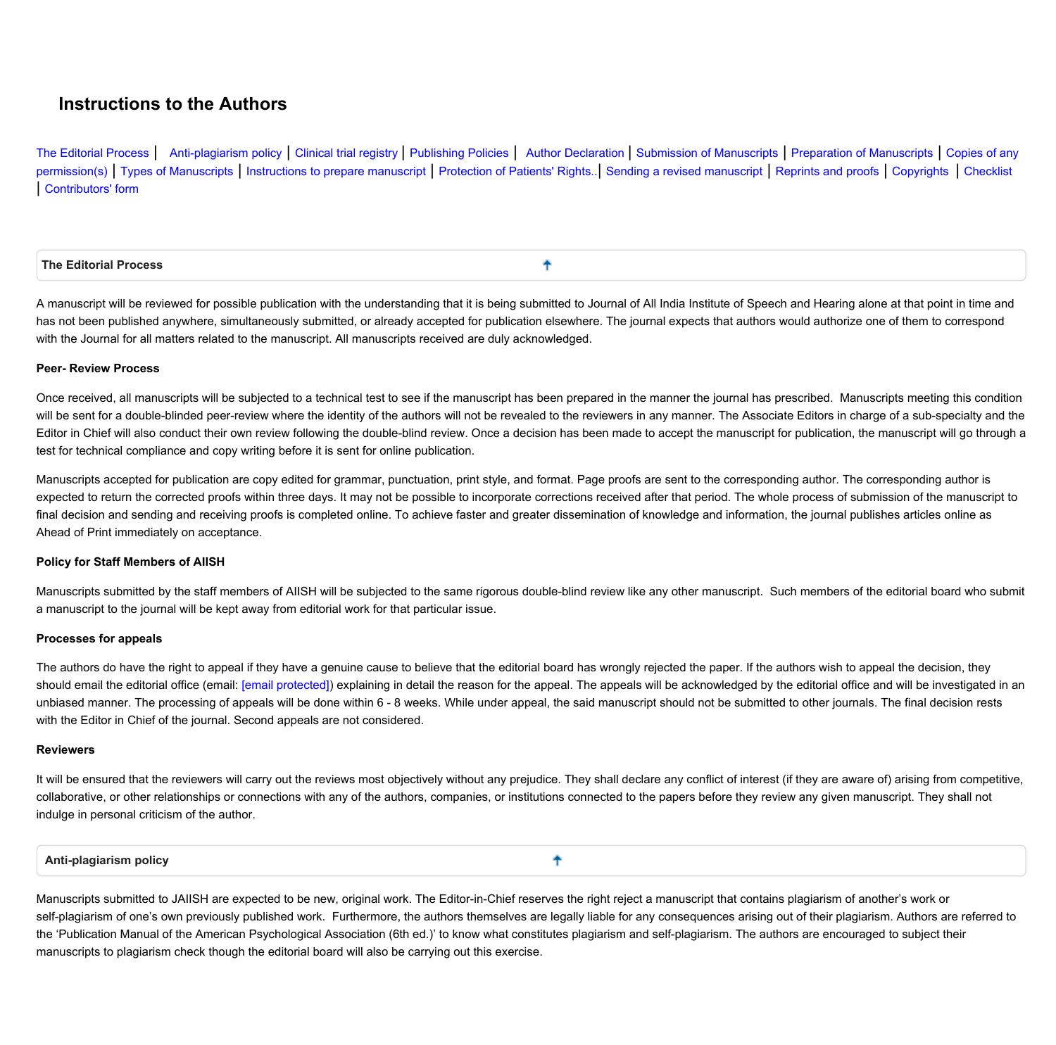# **Instructions to the Authors**

[The](#page-0-0) [Editorial](#page-0-0) [Process](#page-0-0) | [Anti-plagiarism](#page-0-1) [policy](#page-0-1) | [Clinical](#page-1-0) [trial](#page-1-0) [registry](#page-1-0) | [Publishing](#page-1-1) [Policies](#page-1-1) | [Author](#page-1-2) [Declaration](#page-1-2) [|](#page-1-2) [Submission](#page-2-0) [of](#page-2-2) [Manuscripts](#page-2-1) | [Preparation](#page-2-1) of Manuscripts | [Copies](#page-2-2) of [any](#page-2-2) [permission\(s\)](#page-2-2) | [Types](#page-2-3) [of](#page-8-0) [Manuscripts](#page-2-3) | [Instructions](#page-2-4) [to](#page-2-4) [prepare](#page-2-4) [manuscript](#page-9-0) | [Protection](#page-8-0) of [Patients'](#page-8-0) [Rights..](#page-8-0) | [Sending](#page-9-0) [a](#page-9-0) [revised](#page-9-0) manuscript | [Reprints](#page-9-1) [and](#page-9-1) [proofs](#page-9-1) | [Copyrights](#page-9-2) [|](#page-9-2) [Checklist](#page-9-3) **| [Contributors'](#page-10-0) [form](#page-10-0)**

<span id="page-0-0"></span>

| $\overline{\phantom{a}}$ The Editorial Process |  |
|------------------------------------------------|--|
|                                                |  |

A manuscript will be reviewed for possible publication with the understanding that it is being submitted to Journal of All India Institute of Speech and Hearing alone at that point in time and has not been published anywhere, simultaneously submitted, or already accepted for publication elsewhere. The journal expects that authors would authorize one of them to correspond **with the Journal for all matters related to the manuscript. All manuscripts received are duly acknowledged.**

# **Peer- Review Process**

Once received, all manuscripts will be subjected to a technical test to see if the manuscript has been prepared in the manner the journal has prescribed. Manuscripts meeting this condition will be sent for a double-blinded peer-review where the identity of the authors will not be revealed to the reviewers in any manner. The Associate Editors in charge of a sub-specialty and the Editor in Chief will also conduct their own review following the double-blind review. Once a decision has been made to accept the manuscript for publication, the manuscript will go through a **test for technical compliance and copy writing before it is sent for online publication.**

Manuscripts accepted for publication are copy edited for grammar, punctuation, print style, and format. Page proofs are sent to the corresponding author. The corresponding author is expected to return the corrected proofs within three days. It may not be possible to incorporate corrections received after that period. The whole process of submission of the manuscript to final decision and sending and receiving proofs is completed online. To achieve faster and greater dissemination of knowledge and information, the journal publishes articles online as **Ahead of Print immediately on acceptance.**

# **Policy for Staff Members of AIISH**

Manuscripts submitted by the staff members of AIISH will be subjected to the same rigorous double-blind review like any other manuscript. Such members of the editorial board who submit **a manuscript to the journal will be kept away from editorial work for that particular issue.**

# **Processes for appeals**

The authors do have the right to appeal if they have a genuine cause to believe that the editorial board has wrongly rejected the paper. If the authors wish to appeal the decision, they should email the editorial office (email: [\[email protected\]\)](http://www.jaiish.com/cdn-cgi/l/email-protection) explaining in detail the reason for the appeal. The appeals will be acknowledged by the editorial office and will be investigated in an unbiased manner. The processing of appeals will be done within 6 - 8 weeks. While under appeal, the said manuscript should not be submitted to other journals. The final decision rests **with the Editor in Chief of the journal. Second appeals are not considered.**

### **Reviewers**

It will be ensured that the reviewers will carry out the reviews most objectively without any prejudice. They shall declare any conflict of interest (if they are aware of) arising from competitive, collaborative, or other relationships or connections with any of the authors, companies, or institutions connected to the papers before they review any given manuscript. They shall not **indulge in personal criticism of the author.**

٠

#### <span id="page-0-1"></span>**Anti-plagiarism policy**

Manuscripts submitted to JAIISH are expected to be new, original work. The Editor-in-Chief reserves the right reject a manuscript that contains plagiarism of another's work or self-plagiarism of one's own previously published work. Furthermore, the authors themselves are legally liable for any consequences arising out of their plagiarism. Authors are referred to the 'Publication Manual of the American Psychological Association (6th ed.)' to know what constitutes plagiarism and self-plagiarism. The authors are encouraged to subject their **manuscripts to plagiarism check though the editorial board will also be carrying out this exercise.**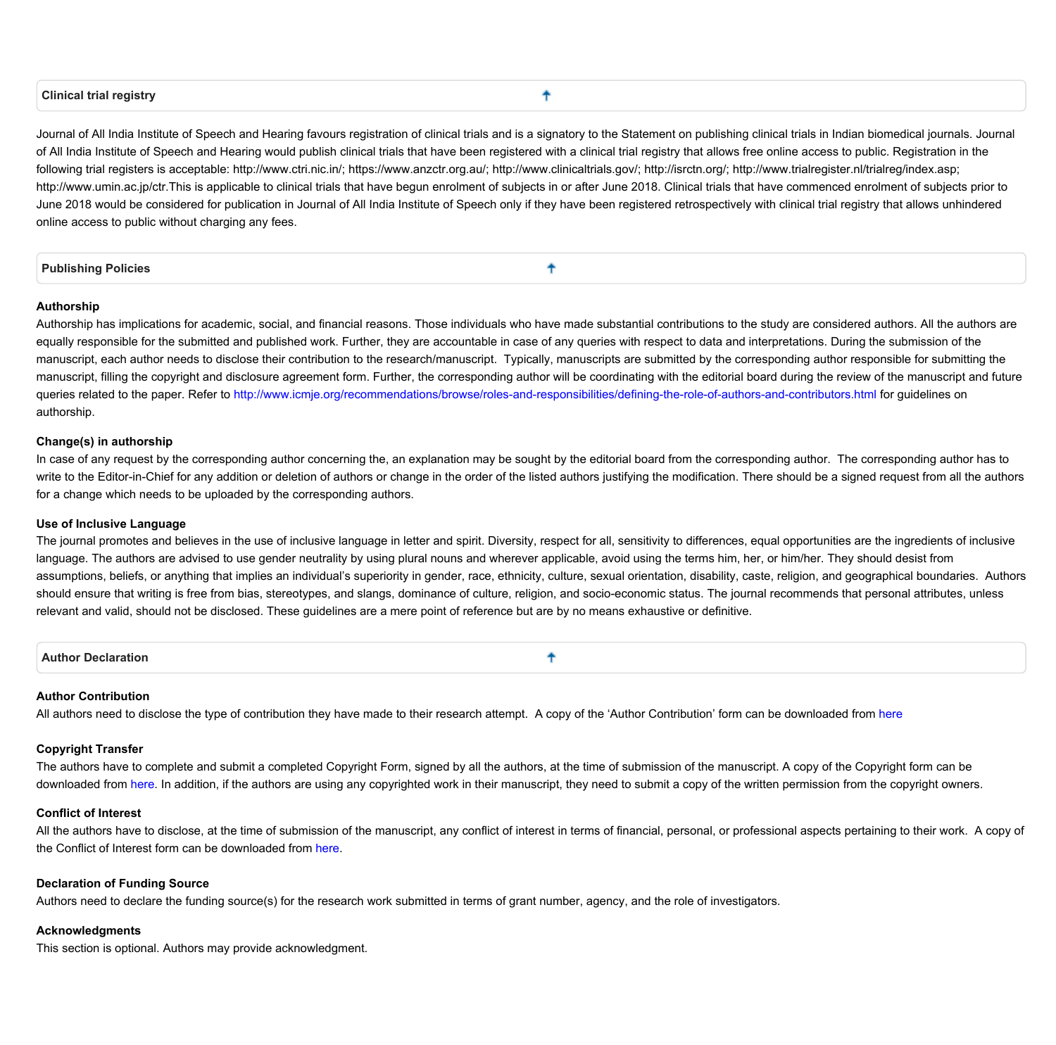#### <span id="page-1-0"></span>**Clinical trial registry**

ቶ

Journal of All India Institute of Speech and Hearing favours registration of clinical trials and is a signatory to the Statement on publishing clinical trials in Indian biomedical journals. Journal of All India Institute of Speech and Hearing would publish clinical trials that have been registered with a clinical trial registry that allows free online access to public. Registration in the following trial registers is acceptable: http://www.ctri.nic.in/; https://www.anzctr.org.au/; http://www.clinicaltrials.gov/; http://isrctn.org/; http://www.trialregister.nl/trialreg/index.asp; http://www.umin.ac.jp/ctr.This is applicable to clinical trials that have begun enrolment of subjects in or after June 2018. Clinical trials that have commenced enrolment of subjects prior to June 2018 would be considered for publication in Journal of All India Institute of Speech only if they have been registered retrospectively with clinical trial registry that allows unhindered **online access to public without charging any fees.**

<span id="page-1-1"></span>

#### **Authorship**

Authorship has implications for academic, social, and financial reasons. Those individuals who have made substantial contributions to the study are considered authors. All the authors are equally responsible for the submitted and published work. Further, they are accountable in case of any queries with respect to data and interpretations. During the submission of the manuscript, each author needs to disclose their contribution to the research/manuscript. Typically, manuscripts are submitted by the corresponding author responsible for submitting the manuscript, filling the copyright and disclosure agreement form. Further, the corresponding author will be coordinating with the editorial board during the review of the manuscript and future queries related to the paper. Refer to <http://www.icmje.org/recommendations/browse/roles-and-responsibilities/defining-the-role-of-authors-and-contributors.html> for quidelines on **authorship.**

#### **Change(s) in authorship**

In case of any request by the corresponding author concerning the, an explanation may be sought by the editorial board from the corresponding author. The corresponding author has to write to the Editor-in-Chief for any addition or deletion of authors or change in the order of the listed authors justifying the modification. There should be a signed request from all the authors **for a change which needs to be uploaded by the corresponding authors.**

#### **Use of Inclusive Language**

The journal promotes and believes in the use of inclusive language in letter and spirit. Diversity, respect for all, sensitivity to differences, equal opportunities are the ingredients of inclusive language. The authors are advised to use gender neutrality by using plural nouns and wherever applicable, avoid using the terms him, her, or him/her. They should desist from assumptions, beliefs, or anything that implies an individual's superiority in gender, race, ethnicity, culture, sexual orientation, disability, caste, religion, and geographical boundaries. Authors should ensure that writing is free from bias, stereotypes, and slangs, dominance of culture, religion, and socio-economic status. The journal recommends that personal attributes, unless relevant and valid, should not be disclosed. These guidelines are a mere point of reference but are by no means exhaustive or definitive.

<span id="page-1-2"></span>**Author Declaration** ٠

### **Author Contribution**

All authors need to disclose the type of contribution they have made to their research attempt. A copy of the 'Author Contribution' form can be downloaded from [here](http://www.jaiish.com/documents/Author Contribution form.docx)

### **Copyright Transfer**

The authors have to complete and submit a completed Copyright Form, signed by all the authors, at the time of submission of the manuscript. A copy of the Copyright form can be downloaded from [here](http://www.jaiish.com/documents/Copyright form.docx). In addition, if the authors are using any copyrighted work in their manuscript, they need to submit a copy of the written permission from the copyright owners.

# **Conflict of Interest**

All the authors have to disclose, at the time of submission of the manuscript, any conflict of interest in terms of financial, personal, or professional aspects pertaining to their work. A copy of **the Conflict of Interest form can be downloaded from [here](http://www.jaiish.com/documents/Conflict of Interest form.docx).**

#### **Declaration of Funding Source**

Authors need to declare the funding source(s) for the research work submitted in terms of grant number, agency, and the role of investigators.

#### **Acknowledgments**

**This section is optional. Authors may provide acknowledgment.**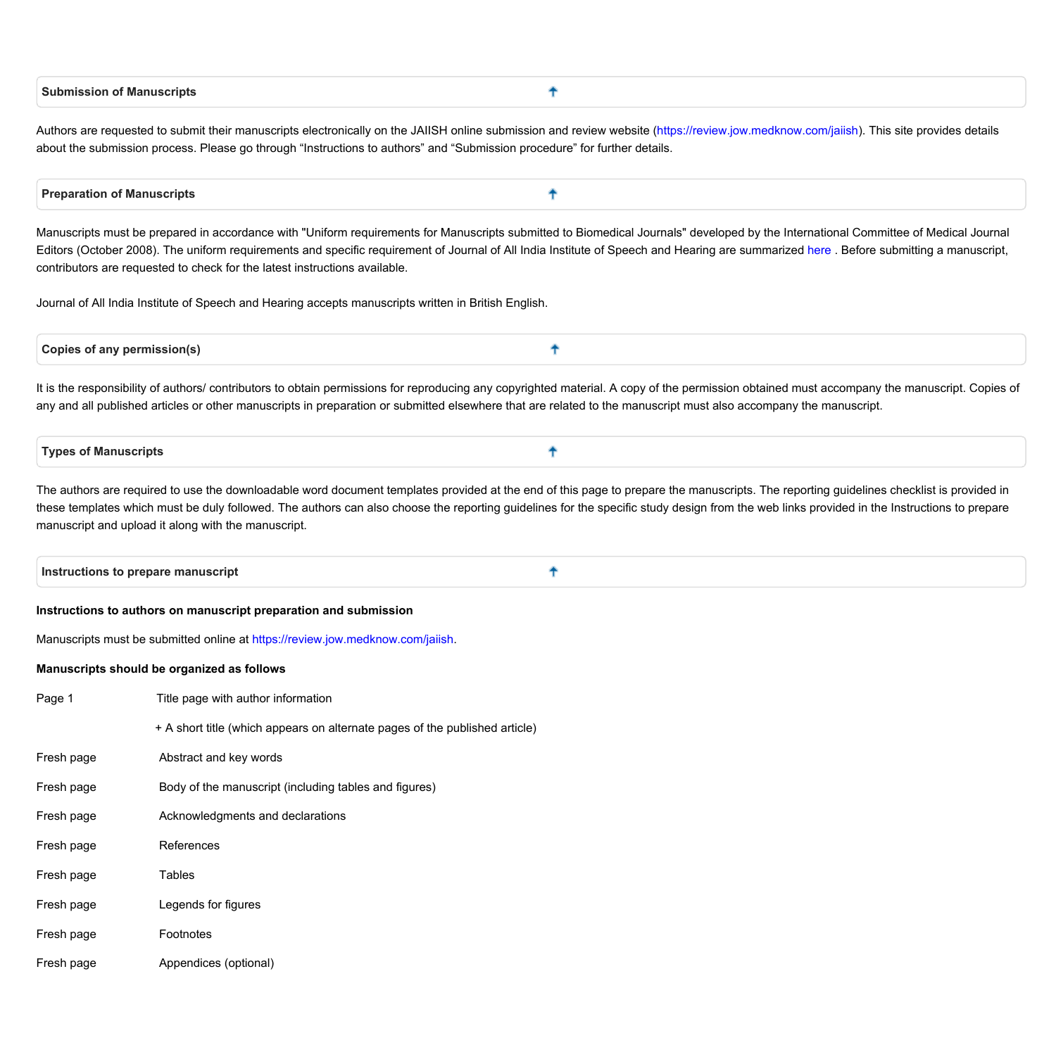<span id="page-2-0"></span>

| <b>Submission</b><br>Manuscripts * |  |
|------------------------------------|--|
|                                    |  |

Authors are requested to submit their manuscripts electronically on the JAIISH online submission and review website (<https://review.jow.medknow.com/jaiish>). This site provides details about the submission process. Please go through "Instructions to authors" and "Submission procedure" for further details.

#### <span id="page-2-1"></span>4 **Preparation of Manuscripts**

Manuscripts must be prepared in accordance with "Uniform requirements for Manuscripts submitted to Biomedical Journals" developed by the International Committee of Medical Journal Editors (October 2008). The uniform requirements and specific requirement of Journal of All India Institute of Speech and Hearing are summarized [here](http://www.jaiish.com/documents/Instructions to prepare manuscript.docx). Before submitting a manuscript, **contributors are requested to check for the latest instructions available.**

**Journal of All India Institute of Speech and Hearing accepts manuscripts written in British English.**

<span id="page-2-2"></span>

| <b>Copy</b><br>mıs:<br>sionis<br>.<br>mт |  |
|------------------------------------------|--|
|                                          |  |

It is the responsibility of authors/ contributors to obtain permissions for reproducing any copyrighted material. A copy of the permission obtained must accompany the manuscript. Copies of any and all published articles or other manuscripts in preparation or submitted elsewhere that are related to the manuscript must also accompany the manuscript.

<span id="page-2-3"></span>

| <b>Types of Manuscripts</b> |
|-----------------------------|
|-----------------------------|

The authors are required to use the downloadable word document templates provided at the end of this page to prepare the manuscripts. The reporting guidelines checklist is provided in these templates which must be duly followed. The authors can also choose the reporting guidelines for the specific study design from the web links provided in the Instructions to prepare **manuscript and upload it along with the manuscript.**

<span id="page-2-4"></span>**Instructions to prepare manuscript** ٠

#### **Instructions to authors on manuscript preparation and submission**

**Manuscripts must be submitted online at [https://review.jow.medknow.com/jaiish.](https://review.jow.medknow.com/jaiish)**

#### **Manuscripts should be organized as follows**

- **Page 1 Title page with author information**
	- **+ A short title (which appears on alternate pages of the published article)**
- **Fresh page Abstract and key words**
- **Fresh page Body of the manuscript (including tables and figures)**
- **Fresh page Acknowledgments and declarations**
- **Fresh page References**
- **Fresh page Tables**
- **Fresh page Legends for figures**
- **Fresh page Footnotes**
- **Fresh page Appendices (optional)**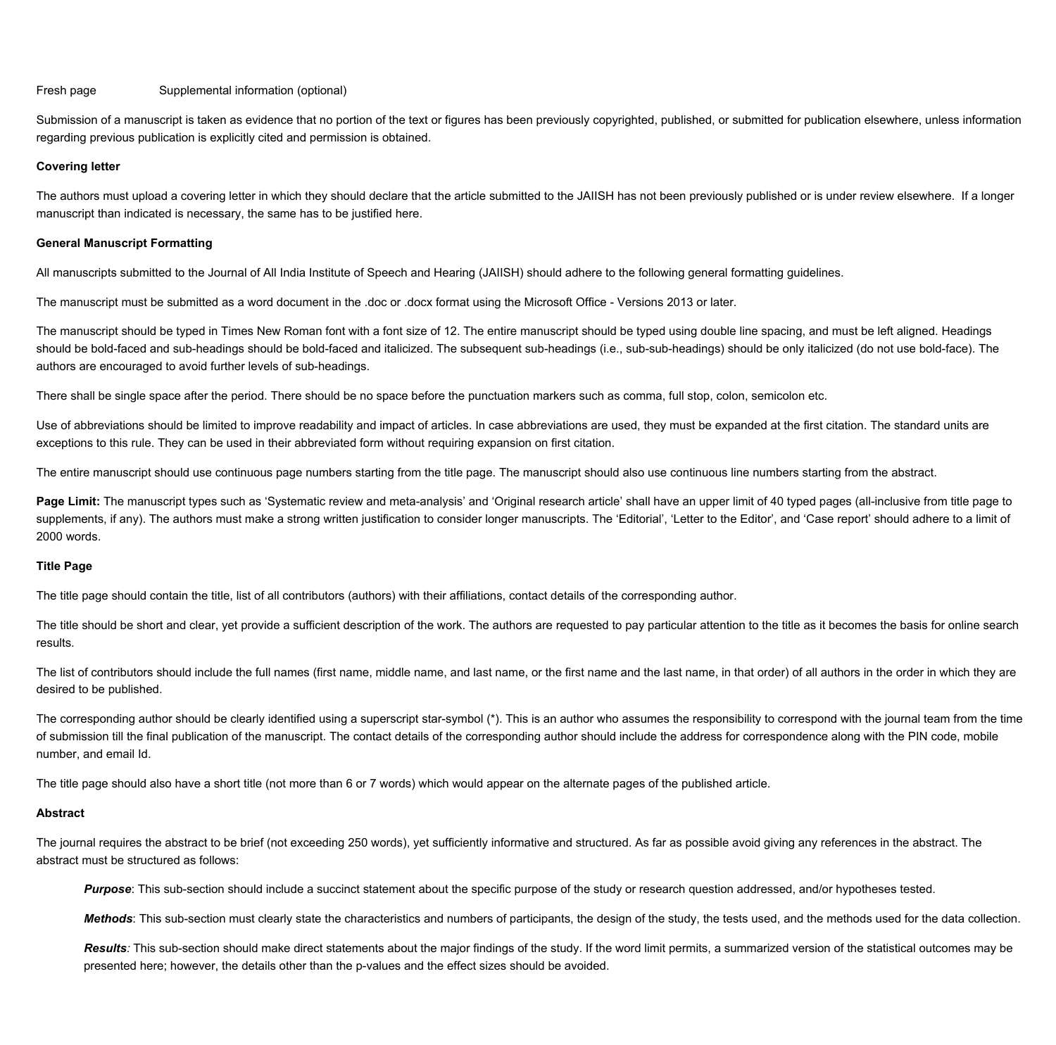#### **Fresh page Supplemental information (optional)**

Submission of a manuscript is taken as evidence that no portion of the text or figures has been previously copyrighted, published, or submitted for publication elsewhere, unless information **regarding previous publication is explicitly cited and permission is obtained.**

#### **Covering letter**

The authors must upload a covering letter in which they should declare that the article submitted to the JAIISH has not been previously published or is under review elsewhere. If a longer **manuscript than indicated is necessary, the same has to be justified here.**

#### **General Manuscript Formatting**

All manuscripts submitted to the Journal of All India Institute of Speech and Hearing (JAIISH) should adhere to the following general formatting guidelines.

The manuscript must be submitted as a word document in the .doc or .docx format using the Microsoft Office - Versions 2013 or later.

The manuscript should be typed in Times New Roman font with a font size of 12. The entire manuscript should be typed using double line spacing, and must be left aligned. Headings should be bold-faced and sub-headings should be bold-faced and italicized. The subsequent sub-headings (i.e., sub-sub-headings) should be only italicized (do not use bold-face). The **authors are encouraged to avoid further levels of sub-headings.**

There shall be single space after the period. There should be no space before the punctuation markers such as comma, full stop, colon, semicolon etc.

Use of abbreviations should be limited to improve readability and impact of articles. In case abbreviations are used, they must be expanded at the first citation. The standard units are exceptions to this rule. They can be used in their abbreviated form without requiring expansion on first citation.

The entire manuscript should use continuous page numbers starting from the title page. The manuscript should also use continuous line numbers starting from the abstract.

Page Limit: The manuscript types such as 'Systematic review and meta-analysis' and 'Original research article' shall have an upper limit of 40 typed pages (all-inclusive from title page to supplements, if any). The authors must make a strong written justification to consider longer manuscripts. The 'Editorial', 'Letter to the Editor', and 'Case report' should adhere to a limit of **2000 words.**

### **Title Page**

The title page should contain the title, list of all contributors (authors) with their affiliations, contact details of the corresponding author.

The title should be short and clear, yet provide a sufficient description of the work. The authors are requested to pay particular attention to the title as it becomes the basis for online search **results.**

The list of contributors should include the full names (first name, middle name, and last name, or the first name and the last name, in that order) of all authors in the order in which they are **desired to be published.**

The corresponding author should be clearly identified using a superscript star-symbol (\*). This is an author who assumes the responsibility to correspond with the journal team from the time of submission till the final publication of the manuscript. The contact details of the corresponding author should include the address for correspondence along with the PIN code, mobile **number, and email Id.**

The title page should also have a short title (not more than 6 or 7 words) which would appear on the alternate pages of the published article.

# **Abstract**

The journal requires the abstract to be brief (not exceeding 250 words), yet sufficiently informative and structured. As far as possible avoid giving any references in the abstract. The **abstract must be structured as follows:**

Purpose: This sub-section should include a succinct statement about the specific purpose of the study or research question addressed, and/or hypotheses tested.

Methods: This sub-section must clearly state the characteristics and numbers of participants, the design of the study, the tests used, and the methods used for the data collection.

Results: This sub-section should make direct statements about the major findings of the study. If the word limit permits, a summarized version of the statistical outcomes may be **presented here; however, the details other than the p-values and the effect sizes should be avoided.**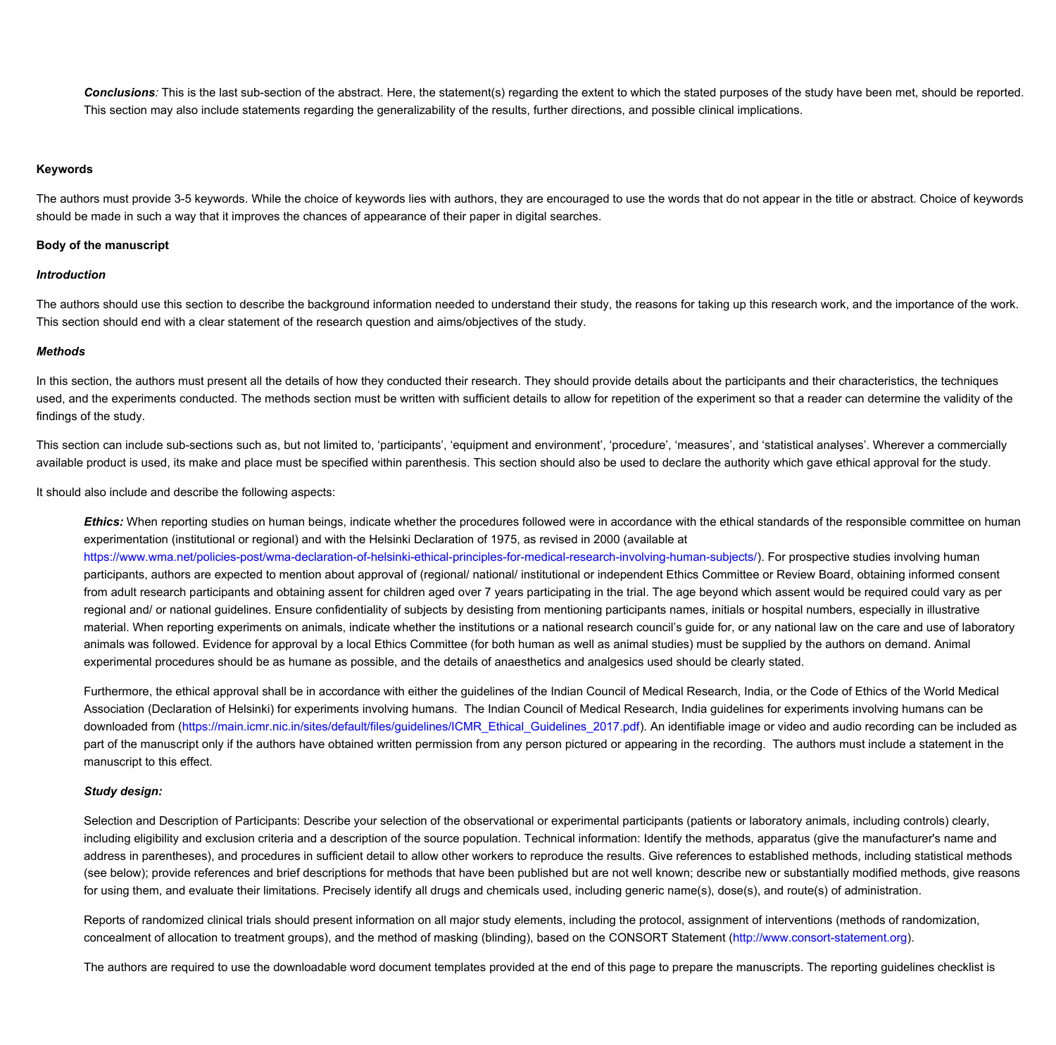Conclusions: This is the last sub-section of the abstract. Here, the statement(s) regarding the extent to which the stated purposes of the study have been met, should be reported. This section may also include statements regarding the generalizability of the results, further directions, and possible clinical implications.

#### **Keywords**

The authors must provide 3-5 keywords. While the choice of keywords lies with authors, they are encouraged to use the words that do not appear in the title or abstract. Choice of keywords should be made in such a way that it improves the chances of appearance of their paper in digital searches.

#### **Body of the manuscript**

#### *Introduction*

The authors should use this section to describe the background information needed to understand their study, the reasons for taking up this research work, and the importance of the work. **This section should end with a clear statement of the research question and aims/objectives of the study.**

#### *Methods*

In this section, the authors must present all the details of how they conducted their research. They should provide details about the participants and their characteristics, the techniques used, and the experiments conducted. The methods section must be written with sufficient details to allow for repetition of the experiment so that a reader can determine the validity of the **findings of the study.**

This section can include sub-sections such as, but not limited to, 'participants', 'equipment and environment', 'procedure', 'measures', and 'statistical analyses'. Wherever a commercially available product is used, its make and place must be specified within parenthesis. This section should also be used to declare the authority which gave ethical approval for the study.

**It should also include and describe the following aspects:**

Ethics: When reporting studies on human beings, indicate whether the procedures followed were in accordance with the ethical standards of the responsible committee on human experimentation (institutional or regional) and with the Helsinki Declaration of 1975, as revised in 2000 (available at

**[https://www.wma.net/policies-post/wma-declaration-of-helsinki-ethical-principles-for-medical-research-involving-human-subjects/\)](https://www.wma.net/policies-post/wma-declaration-of-helsinki-ethical-principles-for-medical-research-involving-human-subjects/). For prospective studies involving human** participants, authors are expected to mention about approval of (regional/ national/ institutional or independent Ethics Committee or Review Board, obtaining informed consent from adult research participants and obtaining assent for children aged over 7 years participating in the trial. The age beyond which assent would be required could vary as per regional and/ or national guidelines. Ensure confidentiality of subjects by desisting from mentioning participants names, initials or hospital numbers, especially in illustrative material. When reporting experiments on animals, indicate whether the institutions or a national research council's quide for, or any national law on the care and use of laboratory animals was followed. Evidence for approval by a local Ethics Committee (for both human as well as animal studies) must be supplied by the authors on demand. Animal experimental procedures should be as humane as possible, and the details of anaesthetics and analgesics used should be clearly stated.

Furthermore, the ethical approval shall be in accordance with either the guidelines of the Indian Council of Medical Research, India, or the Code of Ethics of the World Medical Association (Declaration of Helsinki) for experiments involving humans. The Indian Council of Medical Research, India guidelines for experiments involving humans can be downloaded from (https://main.icmr.nic.in/sites/default/files/guidelines/ICMR Ethical Guidelines 2017.pdf). An identifiable image or video and audio recording can be included as part of the manuscript only if the authors have obtained written permission from any person pictured or appearing in the recording. The authors must include a statement in the **manuscript to this effect.**

### *Study design:*

Selection and Description of Participants: Describe your selection of the observational or experimental participants (patients or laboratory animals, including controls) clearly, including eligibility and exclusion criteria and a description of the source population. Technical information: Identify the methods, apparatus (give the manufacturer's name and address in parentheses), and procedures in sufficient detail to allow other workers to reproduce the results. Give references to established methods, including statistical methods (see below); provide references and brief descriptions for methods that have been published but are not well known; describe new or substantially modified methods, give reasons for using them, and evaluate their limitations. Precisely identify all drugs and chemicals used, including generic name(s), dose(s), and route(s) of administration.

Reports of randomized clinical trials should present information on all major study elements, including the protocol, assignment of interventions (methods of randomization, concealment of allocation to treatment groups), and the method of masking (blinding), based on the CONSORT Statement [\(http://www.consort-statement.org](http://www.consort-statement.org/)).

The authors are required to use the downloadable word document templates provided at the end of this page to prepare the manuscripts. The reporting guidelines checklist is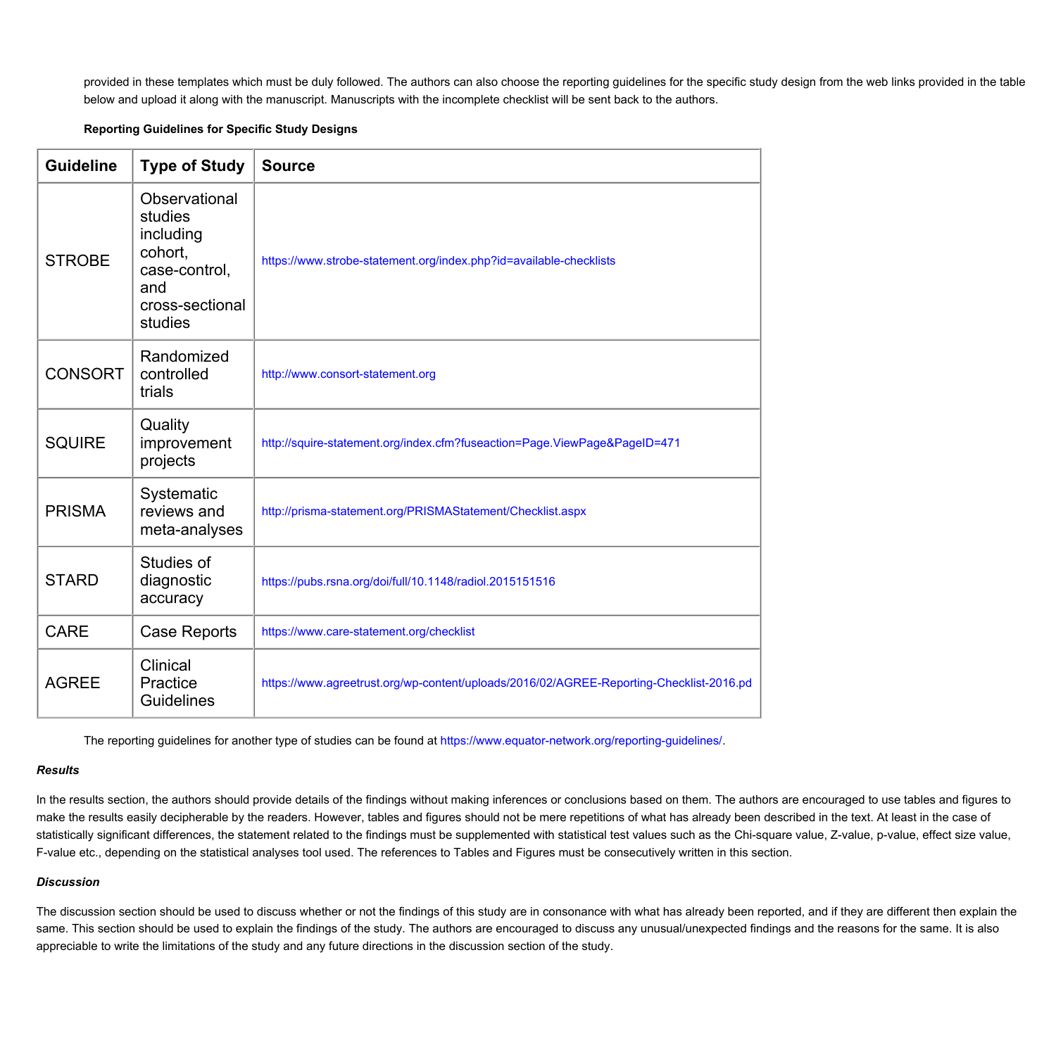provided in these templates which must be duly followed. The authors can also choose the reporting guidelines for the specific study design from the web links provided in the table below and upload it along with the manuscript. Manuscripts with the incomplete checklist will be sent back to the authors.

### **Reporting Guidelines for Specific Study Designs**

| <b>Guideline</b> | <b>Type of Study</b>                                                                                   | <b>Source</b>                                                                           |
|------------------|--------------------------------------------------------------------------------------------------------|-----------------------------------------------------------------------------------------|
| <b>STROBE</b>    | Observational<br>studies<br>including<br>cohort,<br>case-control,<br>and<br>cross-sectional<br>studies | https://www.strobe-statement.org/index.php?id=available-checklists                      |
| <b>CONSORT</b>   | Randomized<br>controlled<br>trials                                                                     | http://www.consort-statement.org                                                        |
| <b>SQUIRE</b>    | Quality<br>improvement<br>projects                                                                     | http://squire-statement.org/index.cfm?fuseaction=Page.ViewPage&PageID=471               |
| <b>PRISMA</b>    | Systematic<br>reviews and<br>meta-analyses                                                             | http://prisma-statement.org/PRISMAStatement/Checklist.aspx                              |
| <b>STARD</b>     | Studies of<br>diagnostic<br>accuracy                                                                   | https://pubs.rsna.org/doi/full/10.1148/radiol.2015151516                                |
| <b>CARE</b>      | <b>Case Reports</b>                                                                                    | https://www.care-statement.org/checklist                                                |
| <b>AGREE</b>     | Clinical<br>Practice<br><b>Guidelines</b>                                                              | https://www.agreetrust.org/wp-content/uploads/2016/02/AGREE-Reporting-Checklist-2016.pd |

**The reporting guidelines for another type of studies can be found at <https://www.equator-network.org/reporting-guidelines/>.**

### *Results*

In the results section, the authors should provide details of the findings without making inferences or conclusions based on them. The authors are encouraged to use tables and figures to make the results easily decipherable by the readers. However, tables and figures should not be mere repetitions of what has already been described in the text. At least in the case of statistically significant differences, the statement related to the findings must be supplemented with statistical test values such as the Chi-square value, Z-value, p-value, effect size value, F-value etc., depending on the statistical analyses tool used. The references to Tables and Figures must be consecutively written in this section.

### *Discussion*

The discussion section should be used to discuss whether or not the findings of this study are in consonance with what has already been reported, and if they are different then explain the same. This section should be used to explain the findings of the study. The authors are encouraged to discuss any unusual/unexpected findings and the reasons for the same. It is also appreciable to write the limitations of the study and any future directions in the discussion section of the study.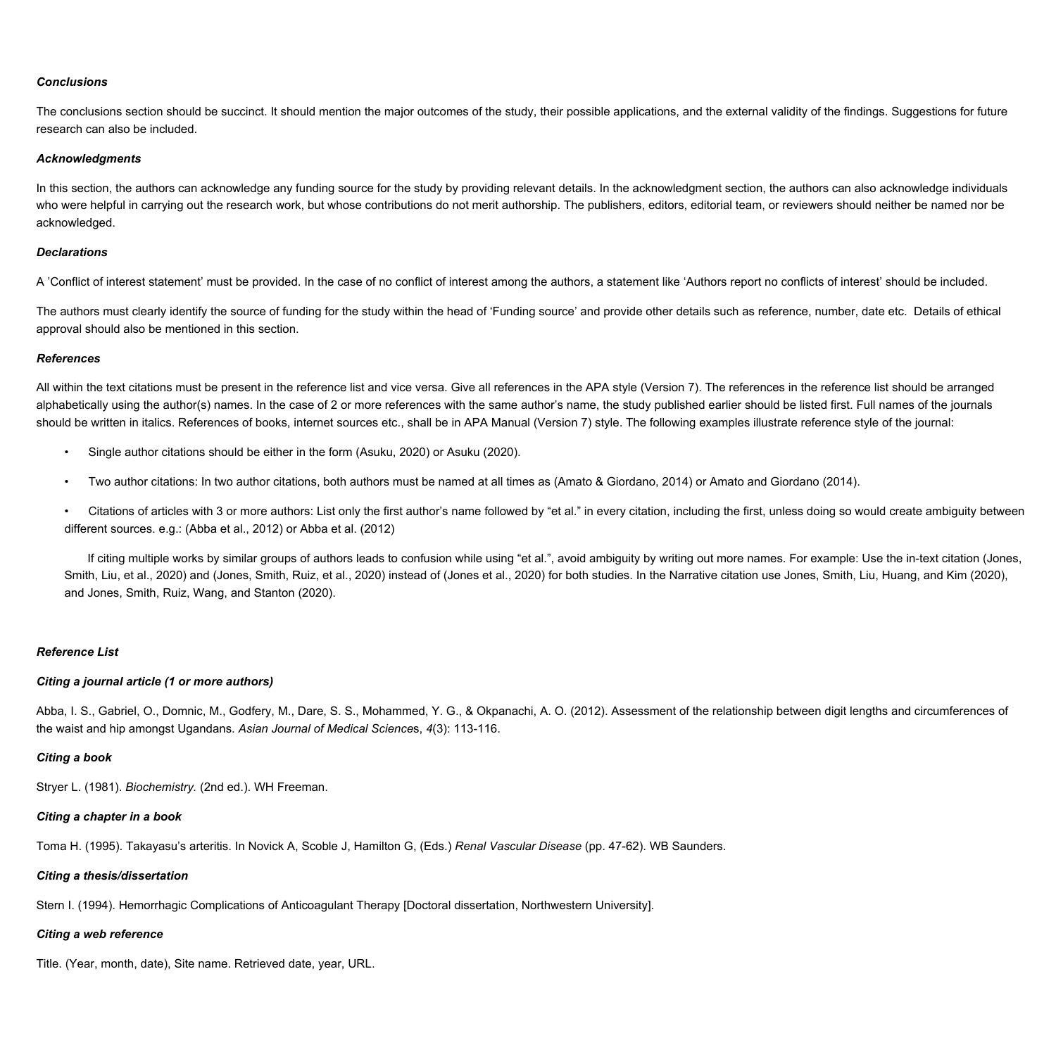### *Conclusions*

The conclusions section should be succinct. It should mention the major outcomes of the study, their possible applications, and the external validity of the findings. Suggestions for future **research can also be included.**

#### *Acknowledgments*

In this section, the authors can acknowledge any funding source for the study by providing relevant details. In the acknowledgment section, the authors can also acknowledge individuals who were helpful in carrying out the research work, but whose contributions do not merit authorship. The publishers, editors, editorial team, or reviewers should neither be named nor be **acknowledged.**

#### *Declarations*

A 'Conflict of interest statement' must be provided. In the case of no conflict of interest among the authors, a statement like 'Authors report no conflicts of interest' should be included.

The authors must clearly identify the source of funding for the study within the head of 'Funding source' and provide other details such as reference, number, date etc. Details of ethical **approval should also be mentioned in this section.**

#### *References*

All within the text citations must be present in the reference list and vice versa. Give all references in the APA style (Version 7). The references in the reference list should be arranged alphabetically using the author(s) names. In the case of 2 or more references with the same author's name, the study published earlier should be listed first. Full names of the journals should be written in italics. References of books, internet sources etc., shall be in APA Manual (Version 7) style. The following examples illustrate reference style of the journal:

- **Single author citations should be either in the form (Asuku, 2020) or Asuku (2020).**
- Two author citations: In two author citations, both authors must be named at all times as (Amato & Giordano, 2014) or Amato and Giordano (2014).

• Citations of articles with 3 or more authors: List only the first author's name followed by "et al." in every citation, including the first, unless doing so would create ambiguity between **different sources. e.g.: (Abba et al., 2012) or Abba et al. (2012)**

If citing multiple works by similar groups of authors leads to confusion while using "et al.", avoid ambiguity by writing out more names. For example: Use the in-text citation (Jones, Smith, Liu, et al., 2020) and (Jones, Smith, Ruiz, et al., 2020) instead of (Jones et al., 2020) for both studies. In the Narrative citation use Jones, Smith, Liu, Huang, and Kim (2020), **and Jones, Smith, Ruiz, Wang, and Stanton (2020).**

### *Reference List*

#### *Citing a journal article (1 or more authors)*

Abba, I. S., Gabriel, O., Domnic, M., Godfery, M., Dare, S. S., Mohammed, Y. G., & Okpanachi, A. O. (2012). Assessment of the relationship between digit lengths and circumferences of **the waist and hip amongst Ugandans.** *Asian Journal of Medical Science***s,** *4***(3): 113-116.**

#### *Citing a book*

**Stryer L. (1981).** *Biochemistry.* **(2nd ed.). WH Freeman.**

#### *Citing a chapter in a book*

Toma H. (1995). Takayasu's arteritis. In Novick A. Scoble J. Hamilton G. (Eds.) Renal Vascular Disease (pp. 47-62). WB Saunders.

#### *Citing a thesis/dissertation*

**Stern I. (1994). Hemorrhagic Complications of Anticoagulant Therapy [Doctoral dissertation, Northwestern University].**

#### *Citing a web reference*

**Title. (Year, month, date), Site name. Retrieved date, year, URL.**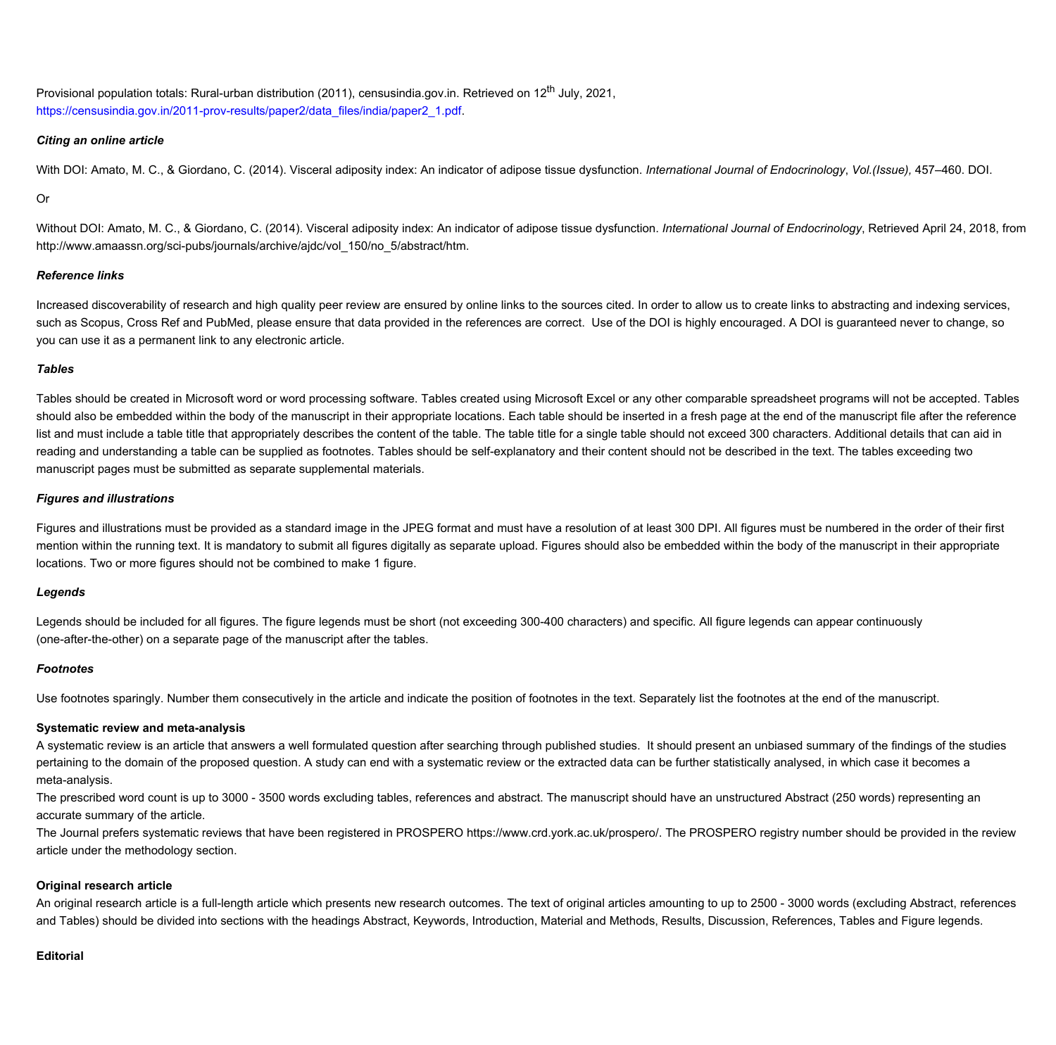**Provisional population totals: Rural-urban distribution (2011), censusindia.gov.in. Retrieved on 12th July, 2021, [https://censusindia.gov.in/2011-prov-results/paper2/data\\_files/india/paper2\\_1.pdf.](https://censusindia.gov.in/2011-prov-results/paper2/data_files/india/paper2_1.pdf)**

### *Citing an online article*

With DOI: Amato, M. C., & Giordano, C. (2014). Visceral adiposity index: An indicator of adipose tissue dysfunction. International Journal of Endocrinology, Vol.(Issue), 457-460. DOI.

### **Or**

Without DOI: Amato, M. C., & Giordano, C. (2014). Visceral adiposity index: An indicator of adipose tissue dysfunction. International Journal of Endocrinology, Retrieved April 24, 2018, from **http://www.amaassn.org/sci-pubs/journals/archive/ajdc/vol\_150/no\_5/abstract/htm.**

# *Reference links*

Increased discoverability of research and high quality peer review are ensured by online links to the sources cited. In order to allow us to create links to abstracting and indexing services, such as Scopus, Cross Ref and PubMed, please ensure that data provided in the references are correct. Use of the DOI is highly encouraged. A DOI is guaranteed never to change, so **you can use it as a permanent link to any electronic article.**

# *Tables*

Tables should be created in Microsoft word or word processing software. Tables created using Microsoft Excel or any other comparable spreadsheet programs will not be accepted. Tables should also be embedded within the body of the manuscript in their appropriate locations. Each table should be inserted in a fresh page at the end of the manuscript file after the reference list and must include a table title that appropriately describes the content of the table. The table title for a single table should not exceed 300 characters. Additional details that can aid in reading and understanding a table can be supplied as footnotes. Tables should be self-explanatory and their content should not be described in the text. The tables exceeding two **manuscript pages must be submitted as separate supplemental materials.**

# *Figures and illustrations*

Figures and illustrations must be provided as a standard image in the JPEG format and must have a resolution of at least 300 DPI. All figures must be numbered in the order of their first mention within the running text. It is mandatory to submit all figures digitally as separate upload. Figures should also be embedded within the body of the manuscript in their appropriate **locations. Two or more figures should not be combined to make 1 figure.**

### *Legends*

Legends should be included for all figures. The figure legends must be short (not exceeding 300-400 characters) and specific. All figure legends can appear continuously **(one-after-the-other) on a separate page of the manuscript after the tables.**

### *Footnotes*

Use footnotes sparingly. Number them consecutively in the article and indicate the position of footnotes in the text. Separately list the footnotes at the end of the manuscript.

# **Systematic review and meta-analysis**

A systematic review is an article that answers a well formulated question after searching through published studies. It should present an unbiased summary of the findings of the studies pertaining to the domain of the proposed question. A study can end with a systematic review or the extracted data can be further statistically analysed, in which case it becomes a **meta-analysis.** 

The prescribed word count is up to 3000 - 3500 words excluding tables, references and abstract. The manuscript should have an unstructured Abstract (250 words) representing an **accurate summary of the article.** 

The Journal prefers systematic reviews that have been registered in PROSPERO https://www.crd.york.ac.uk/prospero/. The PROSPERO registry number should be provided in the review **article under the methodology section.**

# **Original research article**

An original research article is a full-length article which presents new research outcomes. The text of original articles amounting to up to 2500 - 3000 words (excluding Abstract, references and Tables) should be divided into sections with the headings Abstract, Keywords, Introduction, Material and Methods, Results, Discussion, References, Tables and Figure legends.

### **Editorial**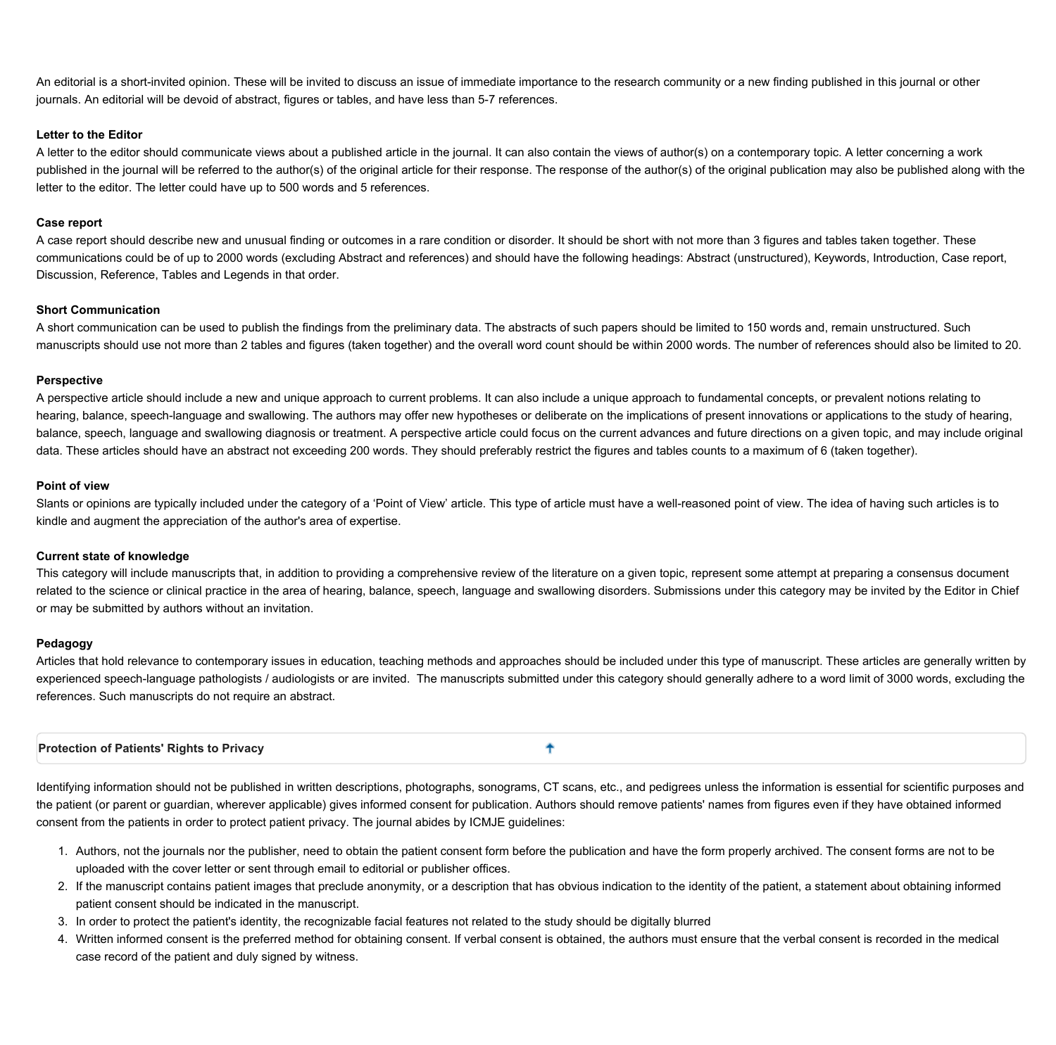An editorial is a short-invited opinion. These will be invited to discuss an issue of immediate importance to the research community or a new finding published in this journal or other **journals. An editorial will be devoid of abstract, figures or tables, and have less than 5-7 references.**

### **Letter to the Editor**

A letter to the editor should communicate views about a published article in the journal. It can also contain the views of author(s) on a contemporary topic. A letter concerning a work published in the journal will be referred to the author(s) of the original article for their response. The response of the author(s) of the original publication may also be published along with the **letter to the editor. The letter could have up to 500 words and 5 references.**

### **Case report**

A case report should describe new and unusual finding or outcomes in a rare condition or disorder. It should be short with not more than 3 figures and tables taken together. These communications could be of up to 2000 words (excluding Abstract and references) and should have the following headings: Abstract (unstructured), Keywords, Introduction, Case report, **Discussion, Reference, Tables and Legends in that order.**

# **Short Communication**

A short communication can be used to publish the findings from the preliminary data. The abstracts of such papers should be limited to 150 words and, remain unstructured. Such manuscripts should use not more than 2 tables and figures (taken together) and the overall word count should be within 2000 words. The number of references should also be limited to 20.

### **Perspective**

A perspective article should include a new and unique approach to current problems. It can also include a unique approach to fundamental concepts, or prevalent notions relating to hearing, balance, speech-language and swallowing. The authors may offer new hypotheses or deliberate on the implications of present innovations or applications to the study of hearing, balance, speech, language and swallowing diagnosis or treatment. A perspective article could focus on the current advances and future directions on a given topic, and may include original data. These articles should have an abstract not exceeding 200 words. They should preferably restrict the figures and tables counts to a maximum of 6 (taken together).

# **Point of view**

Slants or opinions are typically included under the category of a 'Point of View' article. This type of article must have a well-reasoned point of view. The idea of having such articles is to **kindle and augment the appreciation of the author's area of expertise.**

# **Current state of knowledge**

This category will include manuscripts that, in addition to providing a comprehensive review of the literature on a given topic, represent some attempt at preparing a consensus document related to the science or clinical practice in the area of hearing, balance, speech, language and swallowing disorders. Submissions under this category may be invited by the Editor in Chief **or may be submitted by authors without an invitation.** 

### **Pedagogy**

Articles that hold relevance to contemporary issues in education, teaching methods and approaches should be included under this type of manuscript. These articles are generally written by experienced speech-language pathologists / audiologists or are invited. The manuscripts submitted under this category should generally adhere to a word limit of 3000 words, excluding the **references. Such manuscripts do not require an abstract.**

<span id="page-8-0"></span>**Protection of Patients' Rights to Privacy** 

Identifying information should not be published in written descriptions, photographs, sonograms, CT scans, etc., and pedigrees unless the information is essential for scientific purposes and the patient (or parent or guardian, wherever applicable) gives informed consent for publication. Authors should remove patients' names from figures even if they have obtained informed **consent from the patients in order to protect patient privacy. The journal abides by ICMJE guidelines:**

ቶ

- 1. Authors, not the journals nor the publisher, need to obtain the patient consent form before the publication and have the form properly archived. The consent forms are not to be **uploaded with the cover letter or sent through email to editorial or publisher offices.**
- 2. If the manuscript contains patient images that preclude anonymity, or a description that has obvious indication to the identity of the patient, a statement about obtaining informed **patient consent should be indicated in the manuscript.**
- 3. In order to protect the patient's identity, the recognizable facial features not related to the study should be digitally blurred
- 4. Written informed consent is the preferred method for obtaining consent. If verbal consent is obtained, the authors must ensure that the verbal consent is recorded in the medical **case record of the patient and duly signed by witness.**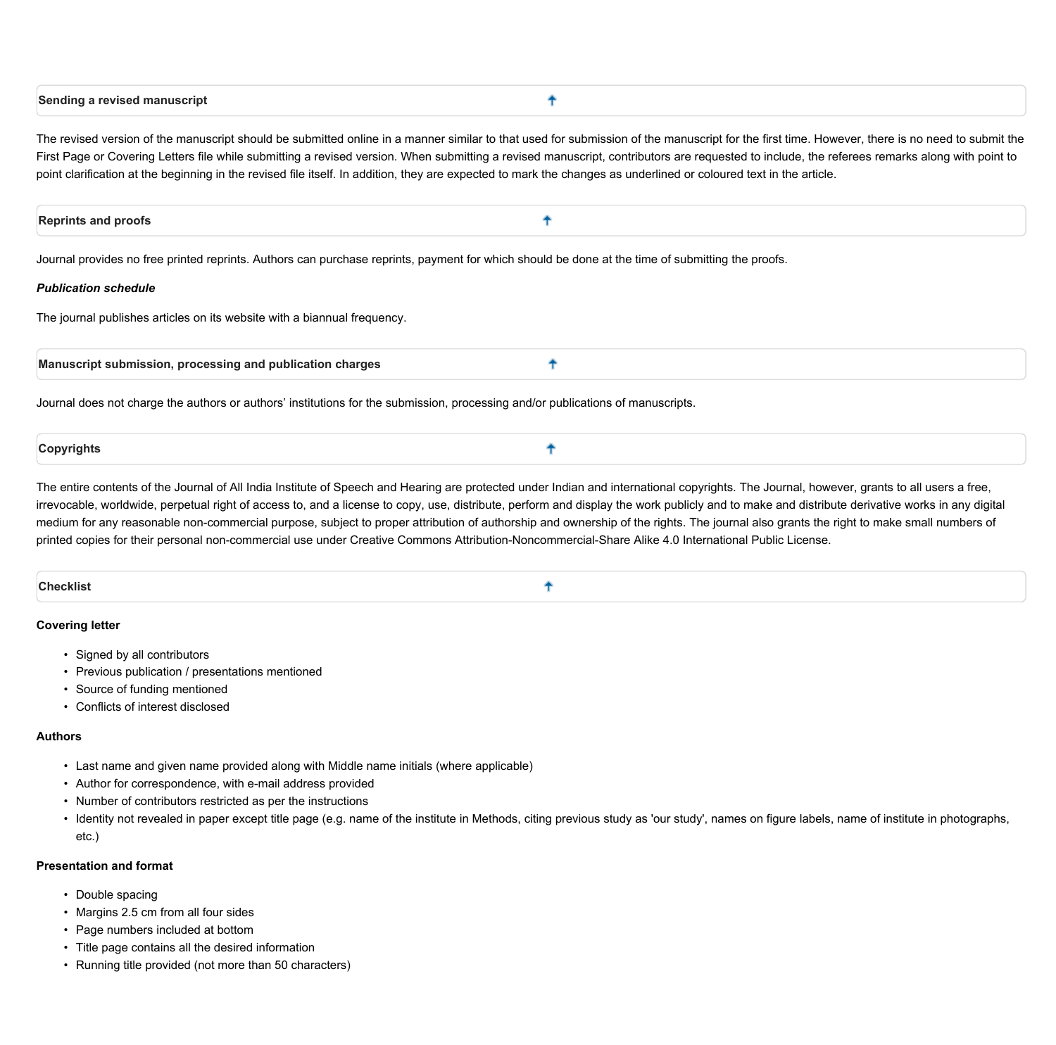<span id="page-9-0"></span>

| Sending a revised manuscript |  |  |
|------------------------------|--|--|
|                              |  |  |

The revised version of the manuscript should be submitted online in a manner similar to that used for submission of the manuscript for the first time. However, there is no need to submit the First Page or Covering Letters file while submitting a revised version. When submitting a revised manuscript, contributors are requested to include, the referees remarks along with point to point clarification at the beginning in the revised file itself. In addition, they are expected to mark the changes as underlined or coloured text in the article.

<span id="page-9-1"></span>

| <b>Reprints and proofs</b> |
|----------------------------|
|----------------------------|

Journal provides no free printed reprints. Authors can purchase reprints, payment for which should be done at the time of submitting the proofs.

#### *Publication schedule*

**The journal publishes articles on its website with a biannual frequency.**

| $\blacksquare$ Manuscript submission.<br>n, processing and publication charges |  |
|--------------------------------------------------------------------------------|--|
|--------------------------------------------------------------------------------|--|

Journal does not charge the authors or authors' institutions for the submission, processing and/or publications of manuscripts.

<span id="page-9-2"></span>

| Copyrights |  |
|------------|--|
|            |  |

The entire contents of the Journal of All India Institute of Speech and Hearing are protected under Indian and international copyrights. The Journal, however, grants to all users a free, irrevocable, worldwide, perpetual right of access to, and a license to copy, use, distribute, perform and display the work publicly and to make and distribute derivative works in any digital medium for any reasonable non-commercial purpose, subject to proper attribution of authorship and ownership of the rights. The journal also grants the right to make small numbers of printed copies for their personal non-commercial use under Creative Commons Attribution-Noncommercial-Share Alike 4.0 International Public License.

<span id="page-9-3"></span>**Checklist** ቶ

### **Covering letter**

- **• Signed by all contributors**
- **• Previous publication / presentations mentioned**
- **• Source of funding mentioned**
- **• Conflicts of interest disclosed**

### **Authors**

- **• Last name and given name provided along with Middle name initials (where applicable)**
- **• Author for correspondence, with e-mail address provided**
- **• Number of contributors restricted as per the instructions**
- · Identity not revealed in paper except title page (e.g. name of the institute in Methods, citing previous study as 'our study', names on figure labels, name of institute in photographs, **etc.)**

# **Presentation and format**

- **• Double spacing**
- **• Margins 2.5 cm from all four sides**
- **• Page numbers included at bottom**
- **• Title page contains all the desired information**
- **• Running title provided (not more than 50 characters)**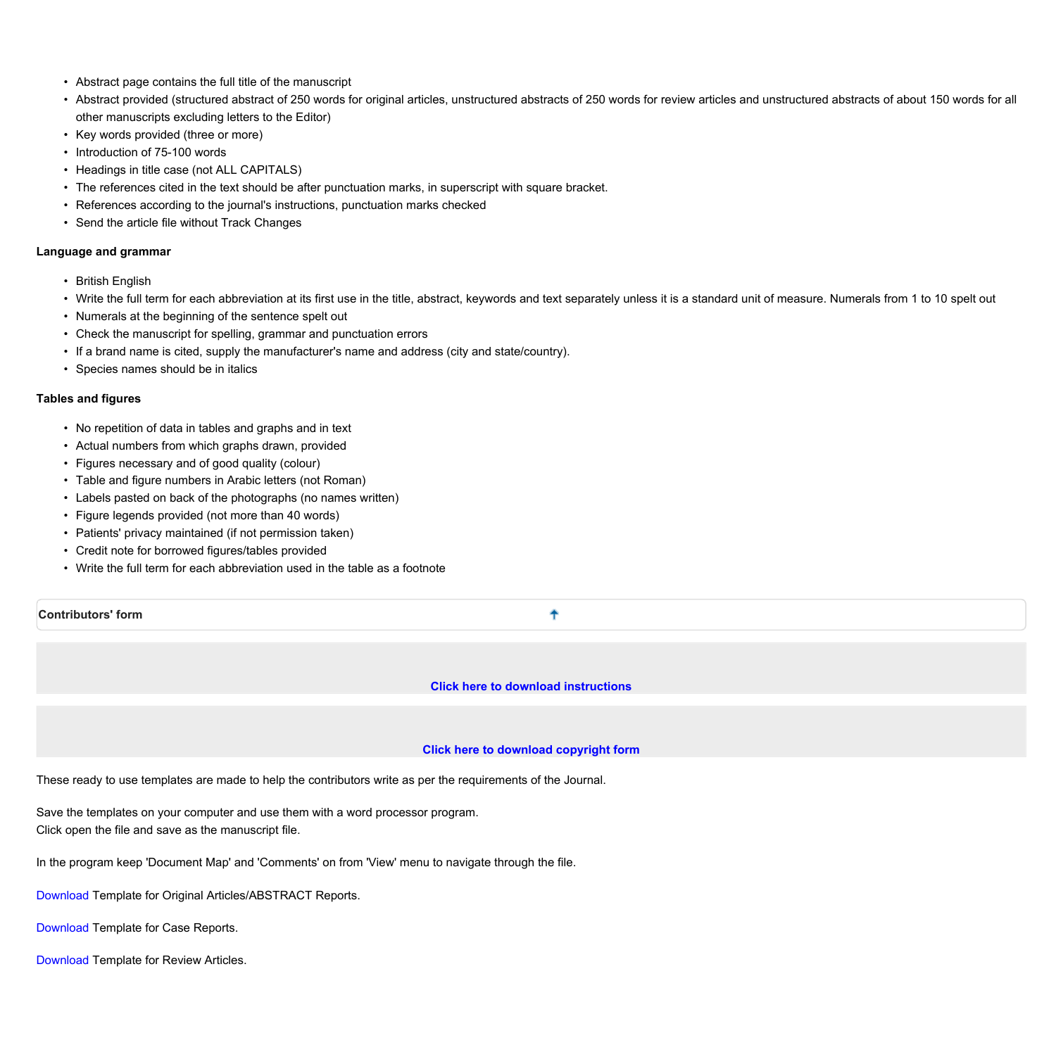- **• Abstract page contains the full title of the manuscript**
- Abstract provided (structured abstract of 250 words for original articles, unstructured abstracts of 250 words for review articles and unstructured abstracts of about 150 words for all **other manuscripts excluding letters to the Editor)**
- **• Key words provided (three or more)**
- **• Introduction of 75-100 words**
- **• Headings in title case (not ALL CAPITALS)**
- **• The references cited in the text should be after punctuation marks, in superscript with square bracket.**
- **• References according to the journal's instructions, punctuation marks checked**
- **• Send the article file without Track Changes**

### **Language and grammar**

- **• British English**
- Write the full term for each abbreviation at its first use in the title, abstract, keywords and text separately unless it is a standard unit of measure. Numerals from 1 to 10 spelt out
- **• Numerals at the beginning of the sentence spelt out**
- **• Check the manuscript for spelling, grammar and punctuation errors**
- **• If a brand name is cited, supply the manufacturer's name and address (city and state/country).**
- **• Species names should be in italics**

# **Tables and figures**

- **• No repetition of data in tables and graphs and in text**
- **• Actual numbers from which graphs drawn, provided**
- **• Figures necessary and of good quality (colour)**
- **• Table and figure numbers in Arabic letters (not Roman)**
- **• Labels pasted on back of the photographs (no names written)**
- **• Figure legends provided (not more than 40 words)**
- **• Patients' privacy maintained (if not permission taken)**
- **• Credit note for borrowed figures/tables provided**
- **• Write the full term for each abbreviation used in the table as a footnote**

<span id="page-10-0"></span>**Contributors' form**

**[Click](http://www.jaiish.com/cptext/instructions.pdf) [here](http://www.jaiish.com/cptext/instructions.pdf) [to](http://www.jaiish.com/cptext/instructions.pdf) [download](http://www.jaiish.com/cptext/instructions.pdf) [instructions](http://www.jaiish.com/cptext/instructions.pdf)**

٠

### **[Click](http://www.jaiish.com/documents/copyright.doc) [here](http://www.jaiish.com/documents/copyright.doc) [to](http://www.jaiish.com/documents/copyright.doc) [download](http://www.jaiish.com/documents/copyright.doc) [copyright](http://www.jaiish.com/documents/copyright.doc) [form](http://www.jaiish.com/documents/copyright.doc)**

These ready to use templates are made to help the contributors write as per the requirements of the Journal.

**Save the templates on your computer and use them with a word processor program. Click open the file and save as the manuscript file.**

**In the program keep 'Document Map' and 'Comments' on from 'View' menu to navigate through the file.** 

**[Download](http://www.jaiish.com/documents/OriginalArticle.dot) Template for Original Articles/ABSTRACT Reports.**

**[Download](http://www.jaiish.com/documents/CaseReport.dot) Template for Case Reports.**

**[Download](http://www.jaiish.com/documents/ReviewArticle.dot) Template for Review Articles.**